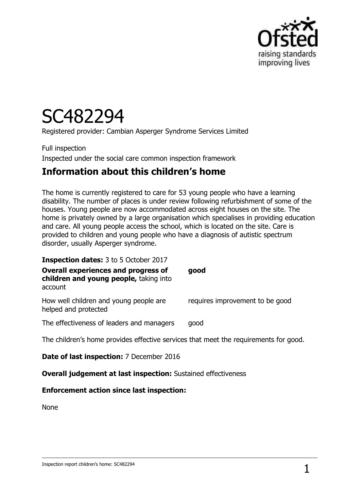

# SC482294

Registered provider: Cambian Asperger Syndrome Services Limited

Full inspection Inspected under the social care common inspection framework

### **Information about this children's home**

The home is currently registered to care for 53 young people who have a learning disability. The number of places is under review following refurbishment of some of the houses. Young people are now accommodated across eight houses on the site. The home is privately owned by a large organisation which specialises in providing education and care. All young people access the school, which is located on the site. Care is provided to children and young people who have a diagnosis of autistic spectrum disorder, usually Asperger syndrome.

| <b>Inspection dates:</b> 3 to 5 October 2017<br><b>Overall experiences and progress of</b><br>children and young people, taking into<br>account | good                            |
|-------------------------------------------------------------------------------------------------------------------------------------------------|---------------------------------|
| How well children and young people are<br>helped and protected                                                                                  | requires improvement to be good |
| The effectiveness of leaders and managers                                                                                                       | good                            |
| The children's home provides effective services that meet the requirements for good.                                                            |                                 |
| <b>Date of last inspection:</b> 7 December 2016                                                                                                 |                                 |

**Overall judgement at last inspection:** Sustained effectiveness

#### **Enforcement action since last inspection:**

None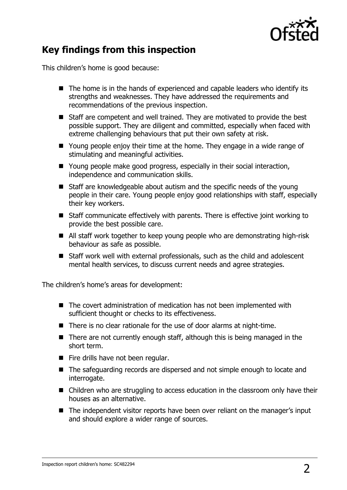

### **Key findings from this inspection**

This children's home is good because:

- $\blacksquare$  The home is in the hands of experienced and capable leaders who identify its strengths and weaknesses. They have addressed the requirements and recommendations of the previous inspection.
- Staff are competent and well trained. They are motivated to provide the best possible support. They are diligent and committed, especially when faced with extreme challenging behaviours that put their own safety at risk.
- Young people enjoy their time at the home. They engage in a wide range of stimulating and meaningful activities.
- Young people make good progress, especially in their social interaction, independence and communication skills.
- Staff are knowledgeable about autism and the specific needs of the young people in their care. Young people enjoy good relationships with staff, especially their key workers.
- Staff communicate effectively with parents. There is effective joint working to provide the best possible care.
- All staff work together to keep young people who are demonstrating high-risk behaviour as safe as possible.
- Staff work well with external professionals, such as the child and adolescent mental health services, to discuss current needs and agree strategies.

The children's home's areas for development:

- The covert administration of medication has not been implemented with sufficient thought or checks to its effectiveness.
- There is no clear rationale for the use of door alarms at night-time.
- There are not currently enough staff, although this is being managed in the short term.
- Fire drills have not been regular.
- The safeguarding records are dispersed and not simple enough to locate and interrogate.
- Children who are struggling to access education in the classroom only have their houses as an alternative.
- The independent visitor reports have been over reliant on the manager's input and should explore a wider range of sources.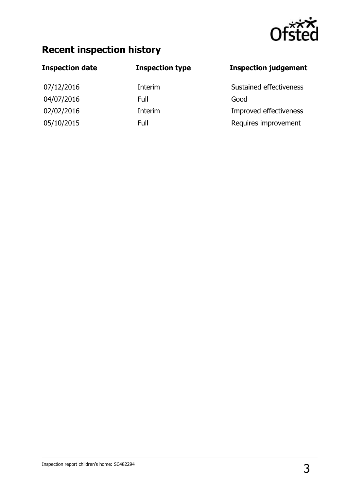

## **Recent inspection history**

| <b>Inspection date</b> | <b>Inspection type</b> | <b>Inspection judgement</b> |
|------------------------|------------------------|-----------------------------|
| 07/12/2016             | Interim                | Sustained effectiveness     |
| 04/07/2016             | Full                   | Good                        |
| 02/02/2016             | Interim                | Improved effectiveness      |
| 05/10/2015             | Full                   | Requires improvement        |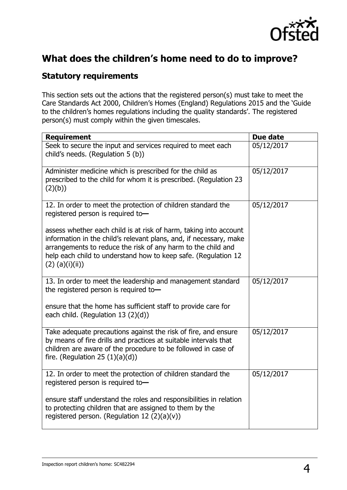

### **What does the children's home need to do to improve?**

#### **Statutory requirements**

This section sets out the actions that the registered person(s) must take to meet the Care Standards Act 2000, Children's Homes (England) Regulations 2015 and the 'Guide to the children's homes regulations including the quality standards'. The registered person(s) must comply within the given timescales.

| <b>Requirement</b>                                                                                                                                                                                                                                                                             | Due date   |  |
|------------------------------------------------------------------------------------------------------------------------------------------------------------------------------------------------------------------------------------------------------------------------------------------------|------------|--|
| Seek to secure the input and services required to meet each<br>child's needs. (Regulation 5 (b))                                                                                                                                                                                               | 05/12/2017 |  |
| Administer medicine which is prescribed for the child as<br>prescribed to the child for whom it is prescribed. (Regulation 23<br>(2)(b))                                                                                                                                                       | 05/12/2017 |  |
| 12. In order to meet the protection of children standard the<br>registered person is required to-                                                                                                                                                                                              | 05/12/2017 |  |
| assess whether each child is at risk of harm, taking into account<br>information in the child's relevant plans, and, if necessary, make<br>arrangements to reduce the risk of any harm to the child and<br>help each child to understand how to keep safe. (Regulation 12<br>$(2)$ (a)(i)(ii)) |            |  |
| 13. In order to meet the leadership and management standard<br>the registered person is required to-                                                                                                                                                                                           | 05/12/2017 |  |
| ensure that the home has sufficient staff to provide care for<br>each child. (Regulation 13 (2)(d))                                                                                                                                                                                            |            |  |
| Take adequate precautions against the risk of fire, and ensure<br>by means of fire drills and practices at suitable intervals that<br>children are aware of the procedure to be followed in case of<br>fire. (Regulation 25 $(1)(a)(d)$ )                                                      | 05/12/2017 |  |
| 12. In order to meet the protection of children standard the<br>registered person is required to-                                                                                                                                                                                              | 05/12/2017 |  |
| ensure staff understand the roles and responsibilities in relation<br>to protecting children that are assigned to them by the<br>registered person. (Regulation 12 $(2)(a)(v)$ )                                                                                                               |            |  |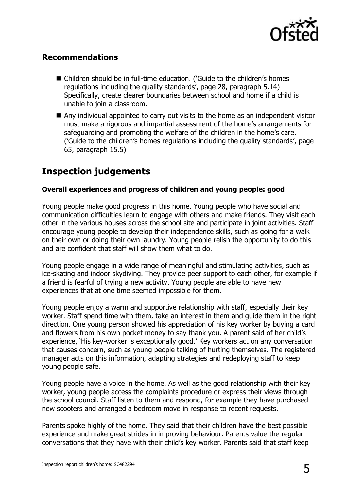

#### **Recommendations**

- Children should be in full-time education. ('Guide to the children's homes regulations including the quality standards', page 28, paragraph 5.14) Specifically, create clearer boundaries between school and home if a child is unable to join a classroom.
- Any individual appointed to carry out visits to the home as an independent visitor must make a rigorous and impartial assessment of the home's arrangements for safeguarding and promoting the welfare of the children in the home's care. ('Guide to the children's homes regulations including the quality standards', page 65, paragraph 15.5)

### **Inspection judgements**

#### **Overall experiences and progress of children and young people: good**

Young people make good progress in this home. Young people who have social and communication difficulties learn to engage with others and make friends. They visit each other in the various houses across the school site and participate in joint activities. Staff encourage young people to develop their independence skills, such as going for a walk on their own or doing their own laundry. Young people relish the opportunity to do this and are confident that staff will show them what to do.

Young people engage in a wide range of meaningful and stimulating activities, such as ice-skating and indoor skydiving. They provide peer support to each other, for example if a friend is fearful of trying a new activity. Young people are able to have new experiences that at one time seemed impossible for them.

Young people enjoy a warm and supportive relationship with staff, especially their key worker. Staff spend time with them, take an interest in them and guide them in the right direction. One young person showed his appreciation of his key worker by buying a card and flowers from his own pocket money to say thank you. A parent said of her child's experience, 'His key-worker is exceptionally good.' Key workers act on any conversation that causes concern, such as young people talking of hurting themselves. The registered manager acts on this information, adapting strategies and redeploying staff to keep young people safe.

Young people have a voice in the home. As well as the good relationship with their key worker, young people access the complaints procedure or express their views through the school council. Staff listen to them and respond, for example they have purchased new scooters and arranged a bedroom move in response to recent requests.

Parents spoke highly of the home. They said that their children have the best possible experience and make great strides in improving behaviour. Parents value the regular conversations that they have with their child's key worker. Parents said that staff keep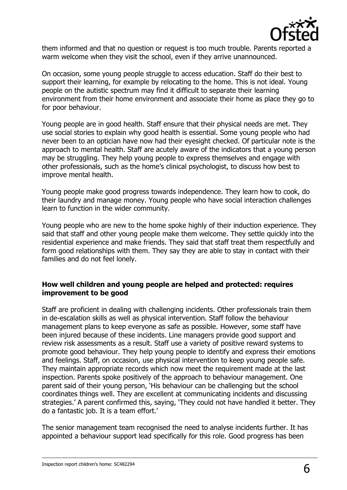

them informed and that no question or request is too much trouble. Parents reported a warm welcome when they visit the school, even if they arrive unannounced.

On occasion, some young people struggle to access education. Staff do their best to support their learning, for example by relocating to the home. This is not ideal. Young people on the autistic spectrum may find it difficult to separate their learning environment from their home environment and associate their home as place they go to for poor behaviour.

Young people are in good health. Staff ensure that their physical needs are met. They use social stories to explain why good health is essential. Some young people who had never been to an optician have now had their eyesight checked. Of particular note is the approach to mental health. Staff are acutely aware of the indicators that a young person may be struggling. They help young people to express themselves and engage with other professionals, such as the home's clinical psychologist, to discuss how best to improve mental health.

Young people make good progress towards independence. They learn how to cook, do their laundry and manage money. Young people who have social interaction challenges learn to function in the wider community.

Young people who are new to the home spoke highly of their induction experience. They said that staff and other young people make them welcome. They settle quickly into the residential experience and make friends. They said that staff treat them respectfully and form good relationships with them. They say they are able to stay in contact with their families and do not feel lonely.

#### **How well children and young people are helped and protected: requires improvement to be good**

Staff are proficient in dealing with challenging incidents. Other professionals train them in de-escalation skills as well as physical intervention. Staff follow the behaviour management plans to keep everyone as safe as possible. However, some staff have been injured because of these incidents. Line managers provide good support and review risk assessments as a result. Staff use a variety of positive reward systems to promote good behaviour. They help young people to identify and express their emotions and feelings. Staff, on occasion, use physical intervention to keep young people safe. They maintain appropriate records which now meet the requirement made at the last inspection. Parents spoke positively of the approach to behaviour management. One parent said of their young person, 'His behaviour can be challenging but the school coordinates things well. They are excellent at communicating incidents and discussing strategies.' A parent confirmed this, saying, 'They could not have handled it better. They do a fantastic job. It is a team effort.'

The senior management team recognised the need to analyse incidents further. It has appointed a behaviour support lead specifically for this role. Good progress has been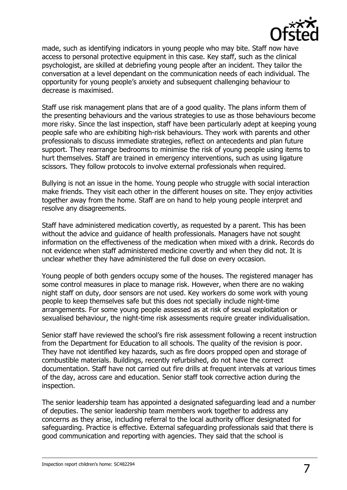

made, such as identifying indicators in young people who may bite. Staff now have access to personal protective equipment in this case. Key staff, such as the clinical psychologist, are skilled at debriefing young people after an incident. They tailor the conversation at a level dependant on the communication needs of each individual. The opportunity for young people's anxiety and subsequent challenging behaviour to decrease is maximised.

Staff use risk management plans that are of a good quality. The plans inform them of the presenting behaviours and the various strategies to use as those behaviours become more risky. Since the last inspection, staff have been particularly adept at keeping young people safe who are exhibiting high-risk behaviours. They work with parents and other professionals to discuss immediate strategies, reflect on antecedents and plan future support. They rearrange bedrooms to minimise the risk of young people using items to hurt themselves. Staff are trained in emergency interventions, such as using ligature scissors. They follow protocols to involve external professionals when required.

Bullying is not an issue in the home. Young people who struggle with social interaction make friends. They visit each other in the different houses on site. They enjoy activities together away from the home. Staff are on hand to help young people interpret and resolve any disagreements.

Staff have administered medication covertly, as requested by a parent. This has been without the advice and guidance of health professionals. Managers have not sought information on the effectiveness of the medication when mixed with a drink. Records do not evidence when staff administered medicine covertly and when they did not. It is unclear whether they have administered the full dose on every occasion.

Young people of both genders occupy some of the houses. The registered manager has some control measures in place to manage risk. However, when there are no waking night staff on duty, door sensors are not used. Key workers do some work with young people to keep themselves safe but this does not specially include night-time arrangements. For some young people assessed as at risk of sexual exploitation or sexualised behaviour, the night-time risk assessments require greater individualisation.

Senior staff have reviewed the school's fire risk assessment following a recent instruction from the Department for Education to all schools. The quality of the revision is poor. They have not identified key hazards, such as fire doors propped open and storage of combustible materials. Buildings, recently refurbished, do not have the correct documentation. Staff have not carried out fire drills at frequent intervals at various times of the day, across care and education. Senior staff took corrective action during the inspection.

The senior leadership team has appointed a designated safeguarding lead and a number of deputies. The senior leadership team members work together to address any concerns as they arise, including referral to the local authority officer designated for safeguarding. Practice is effective. External safeguarding professionals said that there is good communication and reporting with agencies. They said that the school is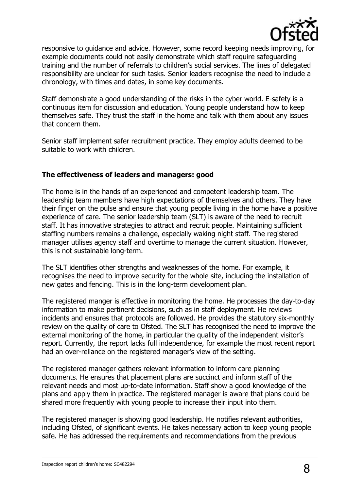

responsive to guidance and advice. However, some record keeping needs improving, for example documents could not easily demonstrate which staff require safeguarding training and the number of referrals to children's social services. The lines of delegated responsibility are unclear for such tasks. Senior leaders recognise the need to include a chronology, with times and dates, in some key documents.

Staff demonstrate a good understanding of the risks in the cyber world. E-safety is a continuous item for discussion and education. Young people understand how to keep themselves safe. They trust the staff in the home and talk with them about any issues that concern them.

Senior staff implement safer recruitment practice. They employ adults deemed to be suitable to work with children.

#### **The effectiveness of leaders and managers: good**

The home is in the hands of an experienced and competent leadership team. The leadership team members have high expectations of themselves and others. They have their finger on the pulse and ensure that young people living in the home have a positive experience of care. The senior leadership team (SLT) is aware of the need to recruit staff. It has innovative strategies to attract and recruit people. Maintaining sufficient staffing numbers remains a challenge, especially waking night staff. The registered manager utilises agency staff and overtime to manage the current situation. However, this is not sustainable long-term.

The SLT identifies other strengths and weaknesses of the home. For example, it recognises the need to improve security for the whole site, including the installation of new gates and fencing. This is in the long-term development plan.

The registered manger is effective in monitoring the home. He processes the day-to-day information to make pertinent decisions, such as in staff deployment. He reviews incidents and ensures that protocols are followed. He provides the statutory six-monthly review on the quality of care to Ofsted. The SLT has recognised the need to improve the external monitoring of the home, in particular the quality of the independent visitor's report. Currently, the report lacks full independence, for example the most recent report had an over-reliance on the registered manager's view of the setting.

The registered manager gathers relevant information to inform care planning documents. He ensures that placement plans are succinct and inform staff of the relevant needs and most up-to-date information. Staff show a good knowledge of the plans and apply them in practice. The registered manager is aware that plans could be shared more frequently with young people to increase their input into them.

The registered manager is showing good leadership. He notifies relevant authorities, including Ofsted, of significant events. He takes necessary action to keep young people safe. He has addressed the requirements and recommendations from the previous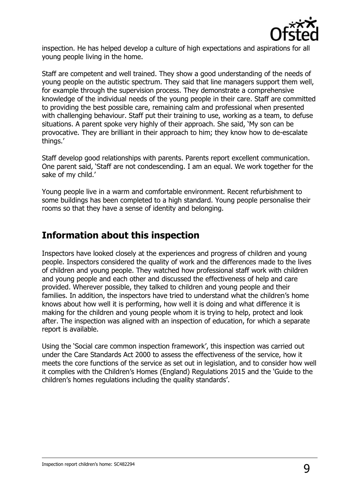

inspection. He has helped develop a culture of high expectations and aspirations for all young people living in the home.

Staff are competent and well trained. They show a good understanding of the needs of young people on the autistic spectrum. They said that line managers support them well, for example through the supervision process. They demonstrate a comprehensive knowledge of the individual needs of the young people in their care. Staff are committed to providing the best possible care, remaining calm and professional when presented with challenging behaviour. Staff put their training to use, working as a team, to defuse situations. A parent spoke very highly of their approach. She said, 'My son can be provocative. They are brilliant in their approach to him; they know how to de-escalate things.'

Staff develop good relationships with parents. Parents report excellent communication. One parent said, 'Staff are not condescending. I am an equal. We work together for the sake of my child.'

Young people live in a warm and comfortable environment. Recent refurbishment to some buildings has been completed to a high standard. Young people personalise their rooms so that they have a sense of identity and belonging.

### **Information about this inspection**

Inspectors have looked closely at the experiences and progress of children and young people. Inspectors considered the quality of work and the differences made to the lives of children and young people. They watched how professional staff work with children and young people and each other and discussed the effectiveness of help and care provided. Wherever possible, they talked to children and young people and their families. In addition, the inspectors have tried to understand what the children's home knows about how well it is performing, how well it is doing and what difference it is making for the children and young people whom it is trying to help, protect and look after. The inspection was aligned with an inspection of education, for which a separate report is available.

Using the 'Social care common inspection framework', this inspection was carried out under the Care Standards Act 2000 to assess the effectiveness of the service, how it meets the core functions of the service as set out in legislation, and to consider how well it complies with the Children's Homes (England) Regulations 2015 and the 'Guide to the children's homes regulations including the quality standards'.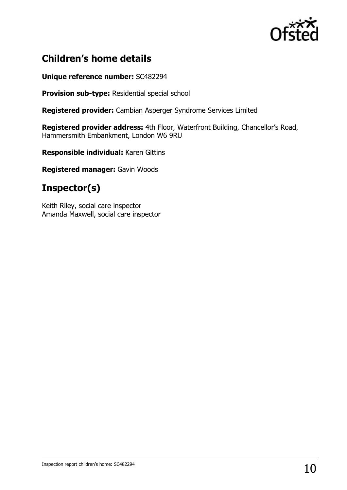

### **Children's home details**

#### **Unique reference number:** SC482294

**Provision sub-type:** Residential special school

**Registered provider:** Cambian Asperger Syndrome Services Limited

**Registered provider address:** 4th Floor, Waterfront Building, Chancellor's Road, Hammersmith Embankment, London W6 9RU

**Responsible individual:** Karen Gittins

**Registered manager:** Gavin Woods

### **Inspector(s)**

Keith Riley, social care inspector Amanda Maxwell, social care inspector